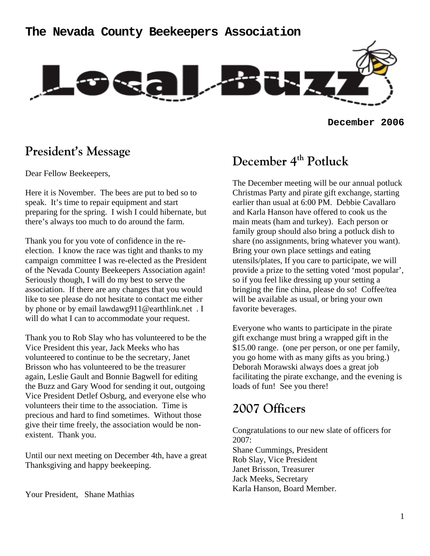### **The Nevada County Beekeepers Association**



**December 2006**

### **President's Message**

Dear Fellow Beekeepers,

Here it is November. The bees are put to bed so to speak. It's time to repair equipment and start preparing for the spring. I wish I could hibernate, but there's always too much to do around the farm.

Thank you for you vote of confidence in the reelection. I know the race was tight and thanks to my campaign committee I was re-elected as the President of the Nevada County Beekeepers Association again! Seriously though, I will do my best to serve the association. If there are any changes that you would like to see please do not hesitate to contact me either by phone or by email lawdawg911@earthlink.net . I will do what I can to accommodate your request.

Thank you to Rob Slay who has volunteered to be the Vice President this year, Jack Meeks who has volunteered to continue to be the secretary, Janet Brisson who has volunteered to be the treasurer again, Leslie Gault and Bonnie Bagwell for editing the Buzz and Gary Wood for sending it out, outgoing Vice President Detlef Osburg, and everyone else who volunteers their time to the association. Time is precious and hard to find sometimes. Without those give their time freely, the association would be nonexistent. Thank you.

Until our next meeting on December 4th, have a great Thanksgiving and happy beekeeping.

Your President, Shane Mathias

## December 4<sup>th</sup> Potluck

The December meeting will be our annual potluck Christmas Party and pirate gift exchange, starting earlier than usual at 6:00 PM. Debbie Cavallaro and Karla Hanson have offered to cook us the main meats (ham and turkey). Each person or family group should also bring a potluck dish to share (no assignments, bring whatever you want). Bring your own place settings and eating utensils/plates, If you care to participate, we will provide a prize to the setting voted 'most popular', so if you feel like dressing up your setting a bringing the fine china, please do so! Coffee/tea will be available as usual, or bring your own favorite beverages.

Everyone who wants to participate in the pirate gift exchange must bring a wrapped gift in the \$15.00 range. (one per person, or one per family, you go home with as many gifts as you bring.) Deborah Morawski always does a great job facilitating the pirate exchange, and the evening is loads of fun! See you there!

## **2007 Officers**

Congratulations to our new slate of officers for 2007: Shane Cummings, President Rob Slay, Vice President Janet Brisson, Treasurer Jack Meeks, Secretary Karla Hanson, Board Member.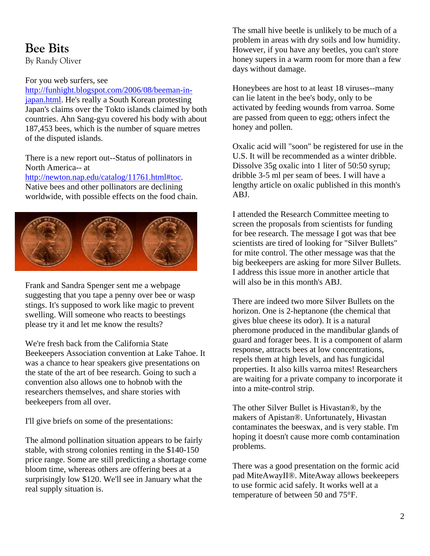# **Bee Bits**

By Randy Oliver

### For you web surfers, see

http://funhight.blogspot.com/2006/08/beeman-injapan.html. He's really a South Korean protesting Japan's claims over the Tokto islands claimed by both countries. Ahn Sang-gyu covered his body with about 187,453 bees, which is the number of square metres of the disputed islands.

There is a new report out--Status of pollinators in North America-- at

http://newton.nap.edu/catalog/11761.html#toc. Native bees and other pollinators are declining worldwide, with possible effects on the food chain.



Frank and Sandra Spenger sent me a webpage suggesting that you tape a penny over bee or wasp stings. It's supposed to work like magic to prevent swelling. Will someone who reacts to beestings please try it and let me know the results?

We're fresh back from the California State Beekeepers Association convention at Lake Tahoe. It was a chance to hear speakers give presentations on the state of the art of bee research. Going to such a convention also allows one to hobnob with the researchers themselves, and share stories with beekeepers from all over.

I'll give briefs on some of the presentations:

The almond pollination situation appears to be fairly stable, with strong colonies renting in the \$140-150 price range. Some are still predicting a shortage come bloom time, whereas others are offering bees at a surprisingly low \$120. We'll see in January what the real supply situation is.

The small hive beetle is unlikely to be much of a problem in areas with dry soils and low humidity. However, if you have any beetles, you can't store honey supers in a warm room for more than a few days without damage.

Honeybees are host to at least 18 viruses--many can lie latent in the bee's body, only to be activated by feeding wounds from varroa. Some are passed from queen to egg; others infect the honey and pollen.

Oxalic acid will "soon" be registered for use in the U.S. It will be recommended as a winter dribble. Dissolve 35g oxalic into 1 liter of 50:50 syrup; dribble 3-5 ml per seam of bees. I will have a lengthy article on oxalic published in this month's ABJ.

I attended the Research Committee meeting to screen the proposals from scientists for funding for bee research. The message I got was that bee scientists are tired of looking for "Silver Bullets" for mite control. The other message was that the big beekeepers are asking for more Silver Bullets. I address this issue more in another article that will also be in this month's ABJ.

There are indeed two more Silver Bullets on the horizon. One is 2-heptanone (the chemical that gives blue cheese its odor). It is a natural pheromone produced in the mandibular glands of guard and forager bees. It is a component of alarm response, attracts bees at low concentrations, repels them at high levels, and has fungicidal properties. It also kills varroa mites! Researchers are waiting for a private company to incorporate it into a mite-control strip.

The other Silver Bullet is Hivastan®, by the makers of Apistan®. Unfortunately, Hivastan contaminates the beeswax, and is very stable. I'm hoping it doesn't cause more comb contamination problems.

There was a good presentation on the formic acid pad MiteAwayII®. MiteAway allows beekeepers to use formic acid safely. It works well at a temperature of between 50 and 75°F.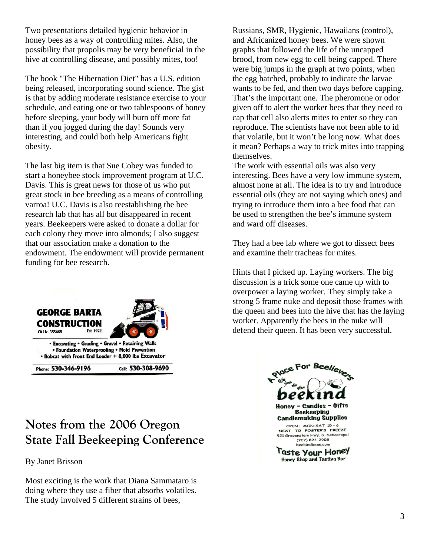Two presentations detailed hygienic behavior in honey bees as a way of controlling mites. Also, the possibility that propolis may be very beneficial in the hive at controlling disease, and possibly mites, too!

The book "The Hibernation Diet" has a U.S. edition being released, incorporating sound science. The gist is that by adding moderate resistance exercise to your schedule, and eating one or two tablespoons of honey before sleeping, your body will burn off more fat than if you jogged during the day! Sounds very interesting, and could both help Americans fight obesity.

The last big item is that Sue Cobey was funded to start a honeybee stock improvement program at U.C. Davis. This is great news for those of us who put great stock in bee breeding as a means of controlling varroa! U.C. Davis is also reestablishing the bee research lab that has all but disappeared in recent years. Beekeepers were asked to donate a dollar for each colony they move into almonds; I also suggest that our association make a donation to the endowment. The endowment will provide permanent funding for bee research.



# **Notes from the 2006 Oregon State Fall Beekeeping Conference**

By Janet Brisson

Most exciting is the work that Diana Sammataro is doing where they use a fiber that absorbs volatiles. The study involved 5 different strains of bees,

Russians, SMR, Hygienic, Hawaiians (control), and Africanized honey bees. We were shown graphs that followed the life of the uncapped brood, from new egg to cell being capped. There were big jumps in the graph at two points, when the egg hatched, probably to indicate the larvae wants to be fed, and then two days before capping. That's the important one. The pheromone or odor given off to alert the worker bees that they need to cap that cell also alerts mites to enter so they can reproduce. The scientists have not been able to id that volatile, but it won't be long now. What does it mean? Perhaps a way to trick mites into trapping themselves.

The work with essential oils was also very interesting. Bees have a very low immune system, almost none at all. The idea is to try and introduce essential oils (they are not saying which ones) and trying to introduce them into a bee food that can be used to strengthen the bee's immune system and ward off diseases.

They had a bee lab where we got to dissect bees and examine their tracheas for mites.

Hints that I picked up. Laying workers. The big discussion is a trick some one came up with to overpower a laying worker. They simply take a strong 5 frame nuke and deposit those frames with the queen and bees into the hive that has the laying worker. Apparently the bees in the nuke will defend their queen. It has been very successful.

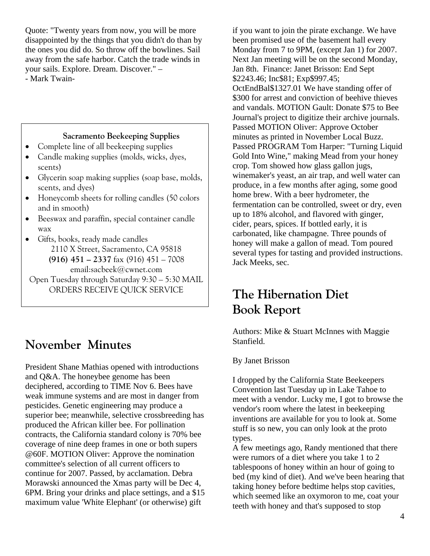Quote: "Twenty years from now, you will be more disappointed by the things that you didn't do than by the ones you did do. So throw off the bowlines. Sail away from the safe harbor. Catch the trade winds in your sails. Explore. Dream. Discover." – - Mark Twain-

#### **Sacramento Beekeeping Supplies**

- Complete line of all beekeeping supplies
- Candle making supplies (molds, wicks, dyes, scents)
- Glycerin soap making supplies (soap base, molds, scents, and dyes)
- Honeycomb sheets for rolling candles (50 colors and in smooth)
- Beeswax and paraffin, special container candle wax
- Gifts, books, ready made candles
	- 2110 X Street, Sacramento, CA 95818 **(916) 451 – 2337** fax (916) 451 – 7008 email:sacbeek@cwnet.com

Open Tuesday through Saturday 9:30 – 5:30 MAIL ORDERS RECEIVE QUICK SERVICE

### **November Minutes**

President Shane Mathias opened with introductions and Q&A. The honeybee genome has been deciphered, according to TIME Nov 6. Bees have weak immune systems and are most in danger from pesticides. Genetic engineering may produce a superior bee; meanwhile, selective crossbreeding has produced the African killer bee. For pollination contracts, the California standard colony is 70% bee coverage of nine deep frames in one or both supers @60F. MOTION Oliver: Approve the nomination committee's selection of all current officers to continue for 2007. Passed, by acclamation. Debra Morawski announced the Xmas party will be Dec 4, 6PM. Bring your drinks and place settings, and a \$15 maximum value 'White Elephant' (or otherwise) gift

if you want to join the pirate exchange. We have been promised use of the basement hall every Monday from 7 to 9PM, (except Jan 1) for 2007. Next Jan meeting will be on the second Monday, Jan 8th. Finance: Janet Brisson: End Sept \$2243.46; Inc\$81; Exp\$997.45; OctEndBal\$1327.01 We have standing offer of \$300 for arrest and conviction of beehive thieves and vandals. MOTION Gault: Donate \$75 to Bee Journal's project to digitize their archive journals. Passed MOTION Oliver: Approve October minutes as printed in November Local Buzz. Passed PROGRAM Tom Harper: "Turning Liquid Gold Into Wine," making Mead from your honey crop. Tom showed how glass gallon jugs, winemaker's yeast, an air trap, and well water can produce, in a few months after aging, some good home brew. With a beer hydrometer, the fermentation can be controlled, sweet or dry, even up to 18% alcohol, and flavored with ginger, cider, pears, spices. If bottled early, it is carbonated, like champagne. Three pounds of honey will make a gallon of mead. Tom poured several types for tasting and provided instructions. Jack Meeks, sec.

## **The Hibernation Diet Book Report**

Authors: Mike & Stuart McInnes with Maggie Stanfield.

#### By Janet Brisson

I dropped by the California State Beekeepers Convention last Tuesday up in Lake Tahoe to meet with a vendor. Lucky me, I got to browse the vendor's room where the latest in beekeeping inventions are available for you to look at. Some stuff is so new, you can only look at the proto types.

A few meetings ago, Randy mentioned that there were rumors of a diet where you take 1 to 2 tablespoons of honey within an hour of going to bed (my kind of diet). And we've been hearing that taking honey before bedtime helps stop cavities, which seemed like an oxymoron to me, coat your teeth with honey and that's supposed to stop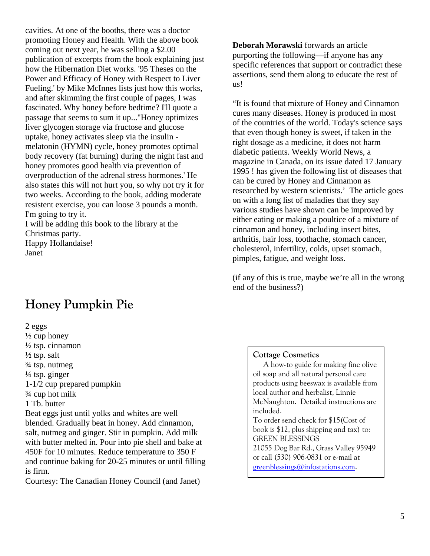cavities. At one of the booths, there was a doctor promoting Honey and Health. With the above book coming out next year, he was selling a \$2.00 publication of excerpts from the book explaining just how the Hibernation Diet works. '95 Theses on the Power and Efficacy of Honey with Respect to Liver Fueling.' by Mike McInnes lists just how this works, and after skimming the first couple of pages, I was fascinated. Why honey before bedtime? I'll quote a passage that seems to sum it up..."Honey optimizes liver glycogen storage via fructose and glucose uptake, honey activates sleep via the insulin melatonin (HYMN) cycle, honey promotes optimal body recovery (fat burning) during the night fast and honey promotes good health via prevention of overproduction of the adrenal stress hormones.' He also states this will not hurt you, so why not try it for two weeks. According to the book, adding moderate resistent exercise, you can loose 3 pounds a month. I'm going to try it.

I will be adding this book to the library at the Christmas party. Happy Hollandaise!

Janet

# **Honey Pumpkin Pie**

2 eggs  $\frac{1}{2}$  cup honey ½ tsp. cinnamon  $\frac{1}{2}$  tsp. salt ¾ tsp. nutmeg  $\frac{1}{4}$  tsp. ginger 1-1/2 cup prepared pumpkin ¾ cup hot milk 1 Tb. butter Beat eggs just until yolks and whites are well blended. Gradually beat in honey. Add cinnamon, salt, nutmeg and ginger. Stir in pumpkin. Add milk with butter melted in. Pour into pie shell and bake at 450F for 10 minutes. Reduce temperature to 350 F and continue baking for 20-25 minutes or until filling is firm.

Courtesy: The Canadian Honey Council (and Janet)

**Deborah Morawski** forwards an article purporting the following—if anyone has any specific references that support or contradict these assertions, send them along to educate the rest of us!

"It is found that mixture of Honey and Cinnamon cures many diseases. Honey is produced in most of the countries of the world. Today's science says that even though honey is sweet, if taken in the right dosage as a medicine, it does not harm diabetic patients. Weekly World News, a magazine in Canada, on its issue dated 17 January 1995 ! has given the following list of diseases that can be cured by Honey and Cinnamon as researched by western scientists.' The article goes on with a long list of maladies that they say various studies have shown can be improved by either eating or making a poultice of a mixture of cinnamon and honey, including insect bites, arthritis, hair loss, toothache, stomach cancer, cholesterol, infertility, colds, upset stomach, pimples, fatigue, and weight loss.

(if any of this is true, maybe we're all in the wrong end of the business?)

#### **Cottage Cosmetics**

A how-to guide for making fine olive oil soap and all natural personal care products using beeswax is available from local author and herbalist, Linnie McNaughton. Detailed instructions are included. To order send check for \$15(Cost of book is \$12, plus shipping and tax) to: GREEN BLESSINGS

21055 Dog Bar Rd., Grass Valley 95949 or call (530) 906-0831 or e-mail at

greenblessings@infostations.com.